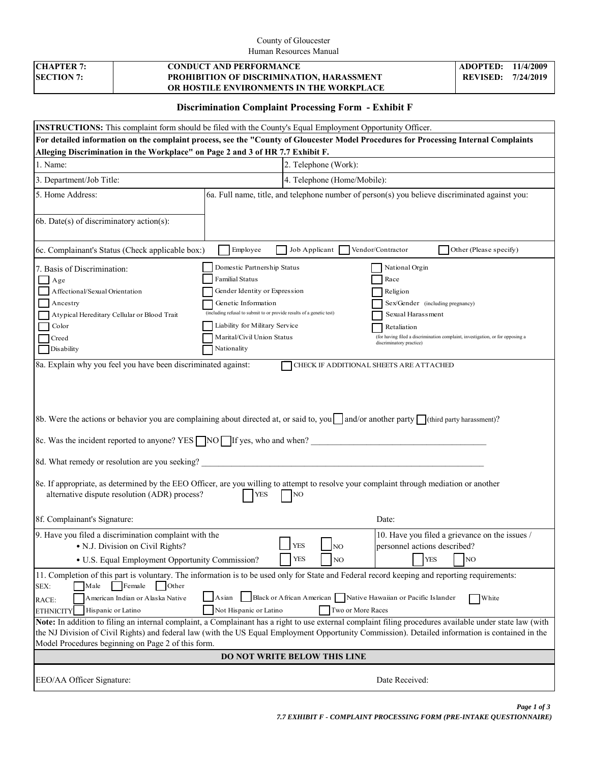## County of Gloucester Human Resources Manual

| <b>CHAPTER 7:</b><br><b>SECTION 7:</b>                                                                                                                                                                                                                                                                       | <b>CONDUCT AND PERFORMANCE</b><br>PROHIBITION OF DISCRIMINATION, HARASSMENT<br>OR HOSTILE ENVIRONMENTS IN THE WORKPLACE |                                                                                              |                             |                                                                                |                                                                                       | <b>ADOPTED:</b><br><b>REVISED:</b> | 11/4/2009<br>7/24/2019 |  |
|--------------------------------------------------------------------------------------------------------------------------------------------------------------------------------------------------------------------------------------------------------------------------------------------------------------|-------------------------------------------------------------------------------------------------------------------------|----------------------------------------------------------------------------------------------|-----------------------------|--------------------------------------------------------------------------------|---------------------------------------------------------------------------------------|------------------------------------|------------------------|--|
| <b>Discrimination Complaint Processing Form - Exhibit F</b>                                                                                                                                                                                                                                                  |                                                                                                                         |                                                                                              |                             |                                                                                |                                                                                       |                                    |                        |  |
| <b>INSTRUCTIONS:</b> This complaint form should be filed with the County's Equal Employment Opportunity Officer.                                                                                                                                                                                             |                                                                                                                         |                                                                                              |                             |                                                                                |                                                                                       |                                    |                        |  |
| For detailed information on the complaint process, see the "County of Gloucester Model Procedures for Processing Internal Complaints                                                                                                                                                                         |                                                                                                                         |                                                                                              |                             |                                                                                |                                                                                       |                                    |                        |  |
| Alleging Discrimination in the Workplace" on Page 2 and 3 of HR 7.7 Exhibit F.                                                                                                                                                                                                                               |                                                                                                                         |                                                                                              |                             |                                                                                |                                                                                       |                                    |                        |  |
| 1. Name:<br>2. Telephone (Work):                                                                                                                                                                                                                                                                             |                                                                                                                         |                                                                                              |                             |                                                                                |                                                                                       |                                    |                        |  |
| 3. Department/Job Title:                                                                                                                                                                                                                                                                                     |                                                                                                                         |                                                                                              | 4. Telephone (Home/Mobile): |                                                                                |                                                                                       |                                    |                        |  |
| 5. Home Address:<br>6a. Full name, title, and telephone number of person(s) you believe discriminated against you:                                                                                                                                                                                           |                                                                                                                         |                                                                                              |                             |                                                                                |                                                                                       |                                    |                        |  |
| 6b. Date(s) of discriminatory action(s):                                                                                                                                                                                                                                                                     |                                                                                                                         |                                                                                              |                             |                                                                                |                                                                                       |                                    |                        |  |
| Vendor/Contractor<br>6c. Complainant's Status (Check applicable box:)<br>Employee<br>Job Applicant<br>Other (Please specify)                                                                                                                                                                                 |                                                                                                                         |                                                                                              |                             |                                                                                |                                                                                       |                                    |                        |  |
| 7. Basis of Discrimination:                                                                                                                                                                                                                                                                                  |                                                                                                                         | Domestic Partnership Status                                                                  |                             |                                                                                | National Orgin                                                                        |                                    |                        |  |
| Age                                                                                                                                                                                                                                                                                                          | <b>Familial Status</b>                                                                                                  |                                                                                              |                             | Race                                                                           |                                                                                       |                                    |                        |  |
| Affectional/Sexual Orientation                                                                                                                                                                                                                                                                               | Gender Identity or Expression                                                                                           |                                                                                              |                             | Religion                                                                       |                                                                                       |                                    |                        |  |
| Ancestry                                                                                                                                                                                                                                                                                                     |                                                                                                                         | Genetic Information<br>(including refusal to submit to or provide results of a genetic test) |                             |                                                                                | Sex/Gender (including pregnancy)<br>Sexual Harassment                                 |                                    |                        |  |
| Atypical Hereditary Cellular or Blood Trait<br>Liability for Military Service<br>Color<br>Retaliation                                                                                                                                                                                                        |                                                                                                                         |                                                                                              |                             |                                                                                |                                                                                       |                                    |                        |  |
| Creed                                                                                                                                                                                                                                                                                                        | Marital/Civil Union Status                                                                                              |                                                                                              |                             | (for having filed a discrimination complaint, investigation, or for opposing a |                                                                                       |                                    |                        |  |
| Disability                                                                                                                                                                                                                                                                                                   | Nationality                                                                                                             |                                                                                              |                             | discriminatory practice)                                                       |                                                                                       |                                    |                        |  |
| 8b. Were the actions or behavior you are complaining about directed at, or said to, you and/or another party (third party harassment)?<br>8c. Was the incident reported to anyone? YES ■NO■ If yes, who and when?                                                                                            |                                                                                                                         |                                                                                              |                             |                                                                                |                                                                                       |                                    |                        |  |
| 8d. What remedy or resolution are you seeking?                                                                                                                                                                                                                                                               |                                                                                                                         |                                                                                              |                             |                                                                                |                                                                                       |                                    |                        |  |
| 8e. If appropriate, as determined by the EEO Officer, are you willing to attempt to resolve your complaint through mediation or another<br>alternative dispute resolution (ADR) process?<br>YES<br>NO <sub>1</sub>                                                                                           |                                                                                                                         |                                                                                              |                             |                                                                                |                                                                                       |                                    |                        |  |
| 8f. Complainant's Signature:                                                                                                                                                                                                                                                                                 |                                                                                                                         |                                                                                              |                             |                                                                                | Date:                                                                                 |                                    |                        |  |
| 9. Have you filed a discrimination complaint with the<br>· N.J. Division on Civil Rights?<br><b>YES</b><br>• U.S. Equal Employment Opportunity Commission?<br><b>YES</b>                                                                                                                                     |                                                                                                                         |                                                                                              |                             | NO<br>$_{\rm NO}$                                                              | 10. Have you filed a grievance on the issues /<br>personnel actions described?<br>YES | N <sub>O</sub>                     |                        |  |
| 11. Completion of this part is voluntary. The information is to be used only for State and Federal record keeping and reporting requirements:<br>Female<br>Male<br>Other<br>SEX:                                                                                                                             |                                                                                                                         |                                                                                              |                             |                                                                                |                                                                                       |                                    |                        |  |
| Black or African American Native Hawaiian or Pacific Islander<br>Asian<br>American Indian or Alaska Native<br>White<br>RACE:<br>Not Hispanic or Latino<br>Two or More Races<br>Hispanic or Latino<br><b>ETHNICITY</b>                                                                                        |                                                                                                                         |                                                                                              |                             |                                                                                |                                                                                       |                                    |                        |  |
| Note: In addition to filing an internal complaint, a Complainant has a right to use external complaint filing procedures available under state law (with<br>the NJ Division of Civil Rights) and federal law (with the US Equal Employment Opportunity Commission). Detailed information is contained in the |                                                                                                                         |                                                                                              |                             |                                                                                |                                                                                       |                                    |                        |  |
|                                                                                                                                                                                                                                                                                                              | Model Procedures beginning on Page 2 of this form.                                                                      |                                                                                              |                             |                                                                                |                                                                                       |                                    |                        |  |
|                                                                                                                                                                                                                                                                                                              |                                                                                                                         | <b>DO NOT WRITE BELOW THIS LINE</b>                                                          |                             |                                                                                |                                                                                       |                                    |                        |  |
| Date Received:<br>EEO/AA Officer Signature:                                                                                                                                                                                                                                                                  |                                                                                                                         |                                                                                              |                             |                                                                                |                                                                                       |                                    |                        |  |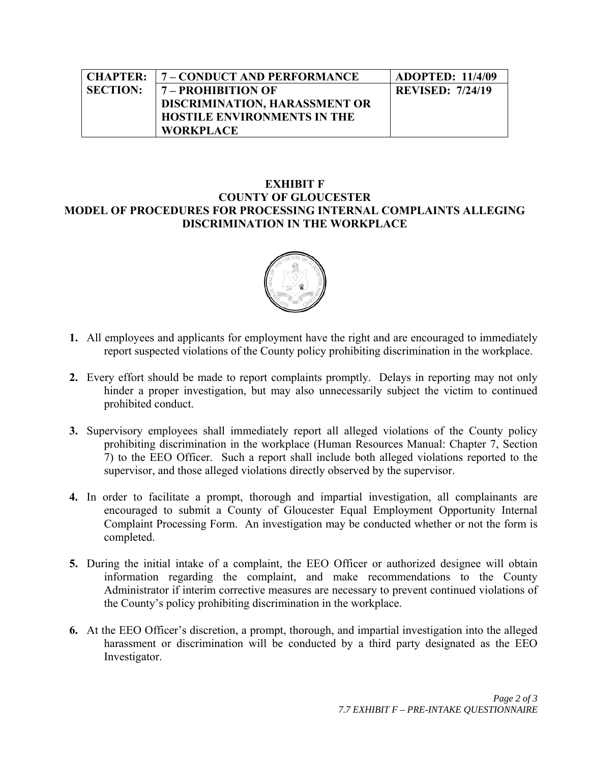| <b>CHAPTER:</b> | 7 – CONDUCT AND PERFORMANCE        | <b>ADOPTED: 11/4/09</b> |
|-----------------|------------------------------------|-------------------------|
| <b>SECTION:</b> | 7 – PROHIBITION OF                 | <b>REVISED: 7/24/19</b> |
|                 | DISCRIMINATION, HARASSMENT OR      |                         |
|                 | <b>HOSTILE ENVIRONMENTS IN THE</b> |                         |
|                 | <b>WORKPLACE</b>                   |                         |

## **EXHIBIT F COUNTY OF GLOUCESTER MODEL OF PROCEDURES FOR PROCESSING INTERNAL COMPLAINTS ALLEGING DISCRIMINATION IN THE WORKPLACE**



- **1.** All employees and applicants for employment have the right and are encouraged to immediately report suspected violations of the County policy prohibiting discrimination in the workplace.
- **2.** Every effort should be made to report complaints promptly. Delays in reporting may not only hinder a proper investigation, but may also unnecessarily subject the victim to continued prohibited conduct.
- **3.** Supervisory employees shall immediately report all alleged violations of the County policy prohibiting discrimination in the workplace (Human Resources Manual: Chapter 7, Section 7) to the EEO Officer. Such a report shall include both alleged violations reported to the supervisor, and those alleged violations directly observed by the supervisor.
- **4.** In order to facilitate a prompt, thorough and impartial investigation, all complainants are encouraged to submit a County of Gloucester Equal Employment Opportunity Internal Complaint Processing Form. An investigation may be conducted whether or not the form is completed.
- **5.** During the initial intake of a complaint, the EEO Officer or authorized designee will obtain information regarding the complaint, and make recommendations to the County Administrator if interim corrective measures are necessary to prevent continued violations of the County's policy prohibiting discrimination in the workplace.
- **6.** At the EEO Officer's discretion, a prompt, thorough, and impartial investigation into the alleged harassment or discrimination will be conducted by a third party designated as the EEO Investigator.